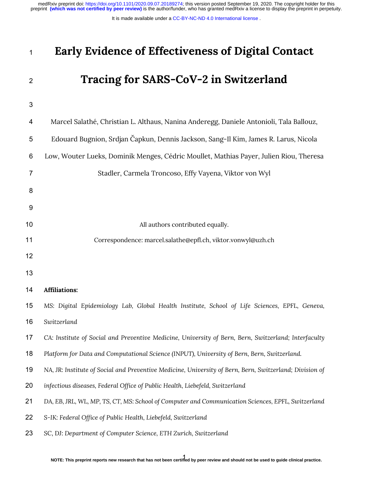It is made available under a [CC-BY-NC-ND 4.0 International license](http://creativecommons.org/licenses/by-nc-nd/4.0/) .

# **Early Evidence of Effectiveness of Digital Contact**

# **Tracing for SARS-CoV-2 in Switzerland**

| 4              | Marcel Salathé, Christian L. Althaus, Nanina Anderegg, Daniele Antonioli, Tala Ballouz,                 |  |  |  |  |
|----------------|---------------------------------------------------------------------------------------------------------|--|--|--|--|
| 5              | Edouard Bugnion, Srdjan Čapkun, Dennis Jackson, Sang-Il Kim, James R. Larus, Nicola                     |  |  |  |  |
| 6              | Low, Wouter Lueks, Dominik Menges, Cédric Moullet, Mathias Payer, Julien Riou, Theresa                  |  |  |  |  |
| $\overline{7}$ | Stadler, Carmela Troncoso, Effy Vayena, Viktor von Wyl                                                  |  |  |  |  |
| 8              |                                                                                                         |  |  |  |  |
| 9              |                                                                                                         |  |  |  |  |
| 10             | All authors contributed equally.                                                                        |  |  |  |  |
| 11             | Correspondence: marcel.salathe@epfl.ch, viktor.vonwyl@uzh.ch                                            |  |  |  |  |
| 12             |                                                                                                         |  |  |  |  |
| 13             |                                                                                                         |  |  |  |  |
| 14             | <b>Affiliations:</b>                                                                                    |  |  |  |  |
| 15             | MS: Digital Epidemiology Lab, Global Health Institute, School of Life Sciences, EPFL, Geneva,           |  |  |  |  |
| 16             | Switzerland                                                                                             |  |  |  |  |
| 17             | CA: Institute of Social and Preventive Medicine, University of Bern, Bern, Switzerland; Interfaculty    |  |  |  |  |
| 18             | Platform for Data and Computational Science (INPUT), University of Bern, Bern, Switzerland.             |  |  |  |  |
| 19             | NA, JR: Institute of Social and Preventive Medicine, University of Bern, Bern, Switzerland; Division of |  |  |  |  |
| $20\,$         | infectious diseases, Federal Office of Public Health, Liebefeld, Switzerland                            |  |  |  |  |
| 21             | DA, EB, JRL, WL, MP, TS, CT, MS: School of Computer and Communication Sciences, EPFL, Switzerland       |  |  |  |  |
| 22             | S-IK: Federal Office of Public Health, Liebefeld, Switzerland                                           |  |  |  |  |
| 23             | SC, DJ: Department of Computer Science, ETH Zurich, Switzerland                                         |  |  |  |  |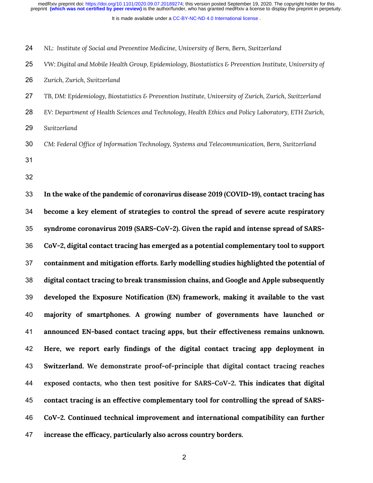It is made available under a [CC-BY-NC-ND 4.0 International license](http://creativecommons.org/licenses/by-nc-nd/4.0/) .

- *NL: Institute of Social and Preventive Medicine, University of Bern, Bern, Switzerland*
- *VW: Digital and Mobile Health Group, Epidemiology, Biostatistics & Prevention Institute, University of*
- *Zurich, Zurich, Switzerland*
- *TB, DM: Epidemiology, Biostatistics & Prevention Institute, University of Zurich, Zurich, Switzerland*
- *EV: Department of Health Sciences and Technology, Health Ethics and Policy Laboratory, ETH Zurich,*
- *Switzerland*
- *CM: Federal Office of Information Technology, Systems and Telecommunication, Bern, Switzerland*
- 
- 

 **In the wake of the pandemic of coronavirus disease 2019 (COVID-19), contact tracing has become a key element of strategies to control the spread of severe acute respiratory syndrome coronavirus 2019 (SARS-CoV-2). Given the rapid and intense spread of SARS- CoV-2, digital contact tracing has emerged as a potential complementary tool to support containment and mitigation efforts. Early modelling studies highlighted the potential of digital contact tracing to break transmission chains, and Google and Apple subsequently developed the Exposure Notification (EN) framework, making it available to the vast majority of smartphones. A growing number of governments have launched or announced EN-based contact tracing apps, but their effectiveness remains unknown. Here, we report early findings of the digital contact tracing app deployment in Switzerland. We demonstrate proof-of-principle that digital contact tracing reaches exposed contacts, who then test positive for SARS-CoV-2. This indicates that digital contact tracing is an effective complementary tool for controlling the spread of SARS- CoV-2. Continued technical improvement and international compatibility can further increase the efficacy, particularly also across country borders.**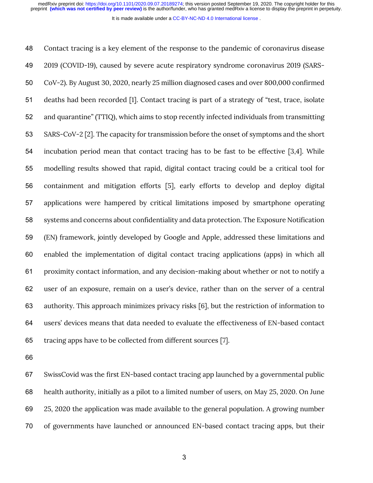It is made available under a [CC-BY-NC-ND 4.0 International license](http://creativecommons.org/licenses/by-nc-nd/4.0/) .

 Contact tracing is a key element of the response to the pandemic of coronavirus disease 2019 (COVID-19), caused by severe acute respiratory syndrome coronavirus 2019 (SARS- CoV-2). By August 30, 2020, nearly 25 million diagnosed cases and over 800,000 confirmed deaths had been recorded [1]. Contact tracing is part of a strategy of "test, trace, isolate and quarantine" (TTIQ), which aims to stop recently infected individuals from transmitting SARS-CoV-2 [2]. The capacity for transmission before the onset of symptoms and the short incubation period mean that contact tracing has to be fast to be effective [3,4]. While modelling results showed that rapid, digital contact tracing could be a critical tool for containment and mitigation efforts [5], early efforts to develop and deploy digital applications were hampered by critical limitations imposed by smartphone operating systems and concerns about confidentiality and data protection. The Exposure Notification (EN) framework, jointly developed by Google and Apple, addressed these limitations and enabled the implementation of digital contact tracing applications (apps) in which all proximity contact information, and any decision-making about whether or not to notify a user of an exposure, remain on a user's device, rather than on the server of a central authority. This approach minimizes privacy risks [6], but the restriction of information to users' devices means that data needed to evaluate the effectiveness of EN-based contact tracing apps have to be collected from different sources [7].

 SwissCovid was the first EN-based contact tracing app launched by a governmental public health authority, initially as a pilot to a limited number of users, on May 25, 2020. On June 25, 2020 the application was made available to the general population. A growing number of governments have launched or announced EN-based contact tracing apps, but their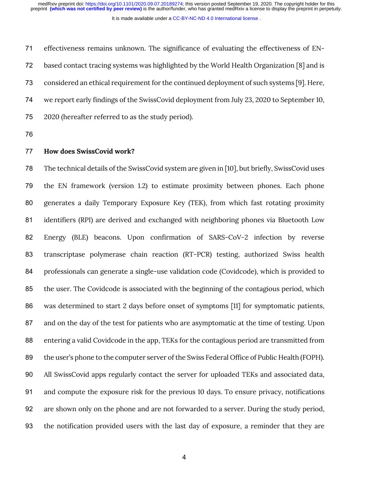It is made available under a [CC-BY-NC-ND 4.0 International license](http://creativecommons.org/licenses/by-nc-nd/4.0/) .

 effectiveness remains unknown. The significance of evaluating the effectiveness of EN- based contact tracing systems was highlighted by the World Health Organization [8] and is considered an ethical requirement for the continued deployment of such systems [9]. Here, we report early findings of the SwissCovid deployment from July 23, 2020 to September 10, 2020 (hereafter referred to as the study period).

## **How does SwissCovid work?**

 The technical details of the SwissCovid system are given in [10], but briefly, SwissCovid uses the EN framework (version 1.2) to estimate proximity between phones. Each phone generates a daily Temporary Exposure Key (TEK), from which fast rotating proximity identifiers (RPI) are derived and exchanged with neighboring phones via Bluetooth Low Energy (BLE) beacons. Upon confirmation of SARS-CoV-2 infection by reverse transcriptase polymerase chain reaction (RT-PCR) testing, authorized Swiss health professionals can generate a single-use validation code (Covidcode), which is provided to the user. The Covidcode is associated with the beginning of the contagious period, which was determined to start 2 days before onset of symptoms [11] for symptomatic patients, and on the day of the test for patients who are asymptomatic at the time of testing. Upon entering a valid Covidcode in the app, TEKs for the contagious period are transmitted from the user's phone to the computer server of the Swiss Federal Office of Public Health (FOPH). All SwissCovid apps regularly contact the server for uploaded TEKs and associated data, and compute the exposure risk for the previous 10 days. To ensure privacy, notifications are shown only on the phone and are not forwarded to a server. During the study period, the notification provided users with the last day of exposure, a reminder that they are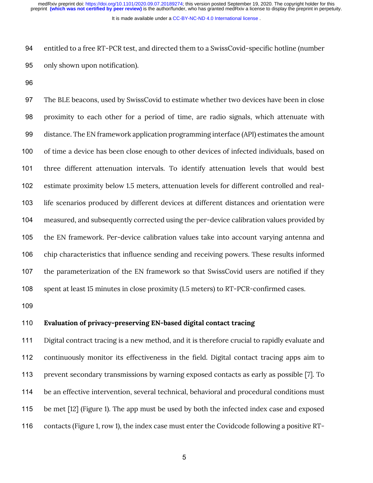It is made available under a [CC-BY-NC-ND 4.0 International license](http://creativecommons.org/licenses/by-nc-nd/4.0/) .

 entitled to a free RT-PCR test, and directed them to a SwissCovid-specific hotline (number only shown upon notification).

 The BLE beacons, used by SwissCovid to estimate whether two devices have been in close proximity to each other for a period of time, are radio signals, which attenuate with distance. The EN framework application programming interface (API) estimates the amount of time a device has been close enough to other devices of infected individuals, based on three different attenuation intervals. To identify attenuation levels that would best estimate proximity below 1.5 meters, attenuation levels for different controlled and real- life scenarios produced by different devices at different distances and orientation were measured, and subsequently corrected using the per-device calibration values provided by the EN framework. Per-device calibration values take into account varying antenna and chip characteristics that influence sending and receiving powers. These results informed the parameterization of the EN framework so that SwissCovid users are notified if they spent at least 15 minutes in close proximity (1.5 meters) to RT-PCR-confirmed cases.

# **Evaluation of privacy-preserving EN-based digital contact tracing**

 Digital contract tracing is a new method, and it is therefore crucial to rapidly evaluate and continuously monitor its effectiveness in the field. Digital contact tracing apps aim to prevent secondary transmissions by warning exposed contacts as early as possible [7]. To 114 be an effective intervention, several technical, behavioral and procedural conditions must be met [12] (Figure 1). The app must be used by both the infected index case and exposed contacts (Figure 1, row 1), the index case must enter the Covidcode following a positive RT-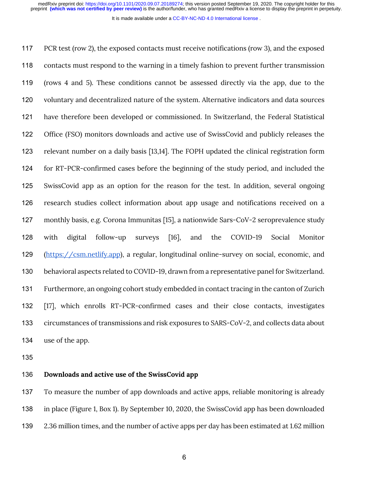It is made available under a [CC-BY-NC-ND 4.0 International license](http://creativecommons.org/licenses/by-nc-nd/4.0/) .

 PCR test (row 2), the exposed contacts must receive notifications (row 3), and the exposed contacts must respond to the warning in a timely fashion to prevent further transmission (rows 4 and 5). These conditions cannot be assessed directly via the app, due to the voluntary and decentralized nature of the system. Alternative indicators and data sources have therefore been developed or commissioned. In Switzerland, the Federal Statistical Office (FSO) monitors downloads and active use of SwissCovid and publicly releases the relevant number on a daily basis [13,14]. The FOPH updated the clinical registration form for RT-PCR-confirmed cases before the beginning of the study period, and included the SwissCovid app as an option for the reason for the test. In addition, several ongoing research studies collect information about app usage and notifications received on a monthly basis, e.g. Corona Immunitas [15], a nationwide Sars-CoV-2 seroprevalence study with digital follow-up surveys [16], and the COVID-19 Social Monitor (https://csm.netlify.app), a regular, longitudinal online-survey on social, economic, and behavioral aspects related to COVID-19, drawn from a representative panel for Switzerland. Furthermore, an ongoing cohort study embedded in contact tracing in the canton of Zurich [17], which enrolls RT-PCR-confirmed cases and their close contacts, investigates circumstances of transmissions and risk exposures to SARS-CoV-2, and collects data about use of the app.

#### **Downloads and active use of the SwissCovid app**

 To measure the number of app downloads and active apps, reliable monitoring is already in place (Figure 1, Box 1). By September 10, 2020, the SwissCovid app has been downloaded 2.36 million times, and the number of active apps per day has been estimated at 1.62 million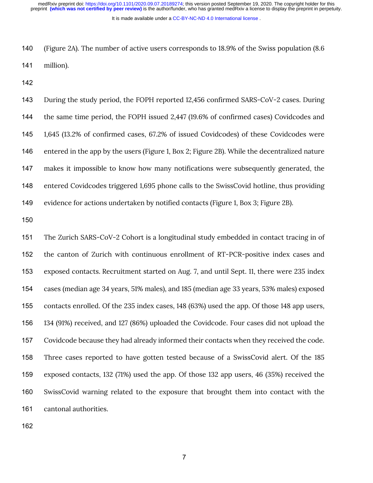It is made available under a [CC-BY-NC-ND 4.0 International license](http://creativecommons.org/licenses/by-nc-nd/4.0/) .

 (Figure 2A). The number of active users corresponds to 18.9% of the Swiss population (8.6 million).

 During the study period, the FOPH reported 12,456 confirmed SARS-CoV-2 cases. During the same time period, the FOPH issued 2,447 (19.6% of confirmed cases) Covidcodes and 1,645 (13.2% of confirmed cases, 67.2% of issued Covidcodes) of these Covidcodes were entered in the app by the users (Figure 1, Box 2; Figure 2B). While the decentralized nature makes it impossible to know how many notifications were subsequently generated, the entered Covidcodes triggered 1,695 phone calls to the SwissCovid hotline, thus providing evidence for actions undertaken by notified contacts (Figure 1, Box 3; Figure 2B).

 The Zurich SARS-CoV-2 Cohort is a longitudinal study embedded in contact tracing in of the canton of Zurich with continuous enrollment of RT-PCR-positive index cases and exposed contacts. Recruitment started on Aug. 7, and until Sept. 11, there were 235 index cases (median age 34 years, 51% males), and 185 (median age 33 years, 53% males) exposed contacts enrolled. Of the 235 index cases, 148 (63%) used the app. Of those 148 app users, 134 (91%) received, and 127 (86%) uploaded the Covidcode. Four cases did not upload the Covidcode because they had already informed their contacts when they received the code. Three cases reported to have gotten tested because of a SwissCovid alert. Of the 185 exposed contacts, 132 (71%) used the app. Of those 132 app users, 46 (35%) received the SwissCovid warning related to the exposure that brought them into contact with the cantonal authorities.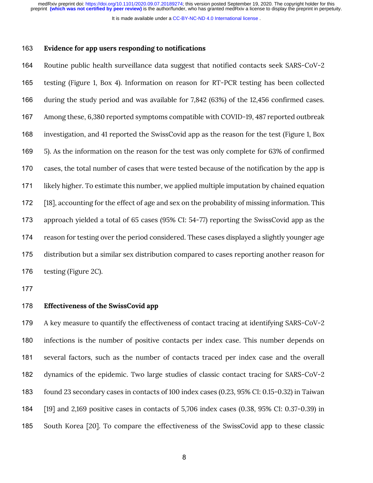It is made available under a [CC-BY-NC-ND 4.0 International license](http://creativecommons.org/licenses/by-nc-nd/4.0/) .

#### **Evidence for app users responding to notifications**

 Routine public health surveillance data suggest that notified contacts seek SARS-CoV-2 testing (Figure 1, Box 4). Information on reason for RT-PCR testing has been collected during the study period and was available for 7,842 (63%) of the 12,456 confirmed cases. Among these, 6,380 reported symptoms compatible with COVID-19, 487 reported outbreak investigation, and 41 reported the SwissCovid app as the reason for the test (Figure 1, Box 5). As the information on the reason for the test was only complete for 63% of confirmed cases, the total number of cases that were tested because of the notification by the app is likely higher. To estimate this number, we applied multiple imputation by chained equation [18], accounting for the effect of age and sex on the probability of missing information. This approach yielded a total of 65 cases (95% CI: 54-77) reporting the SwissCovid app as the reason for testing over the period considered. These cases displayed a slightly younger age distribution but a similar sex distribution compared to cases reporting another reason for testing (Figure 2C).

## **Effectiveness of the SwissCovid app**

 A key measure to quantify the effectiveness of contact tracing at identifying SARS-CoV-2 infections is the number of positive contacts per index case. This number depends on several factors, such as the number of contacts traced per index case and the overall dynamics of the epidemic. Two large studies of classic contact tracing for SARS-CoV-2 found 23 secondary cases in contacts of 100 index cases (0.23, 95% CI: 0.15-0.32) in Taiwan [19] and 2,169 positive cases in contacts of 5,706 index cases (0.38, 95% CI: 0.37-0.39) in South Korea [20]. To compare the effectiveness of the SwissCovid app to these classic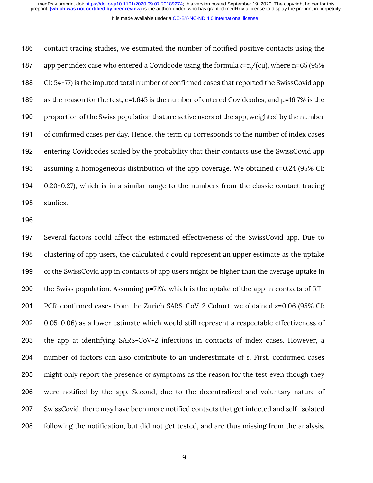It is made available under a [CC-BY-NC-ND 4.0 International license](http://creativecommons.org/licenses/by-nc-nd/4.0/) .

 contact tracing studies, we estimated the number of notified positive contacts using the 187 app per index case who entered a Covidcode using the formula  $\varepsilon = n/(c\mu)$ , where n=65 (95%) CI: 54-77) is the imputed total number of confirmed cases that reported the SwissCovid app 189 as the reason for the test, c=1,645 is the number of entered Covidcodes, and  $\mu$ =16.7% is the proportion of the Swiss population that are active users of the app, weighted by the number 191 of confirmed cases per day. Hence, the term cu corresponds to the number of index cases entering Covidcodes scaled by the probability that their contacts use the SwissCovid app 193 assuming a homogeneous distribution of the app coverage. We obtained  $\varepsilon$ =0.24 (95% CI: 0.20-0.27), which is in a similar range to the numbers from the classic contact tracing studies.

 Several factors could affect the estimated effectiveness of the SwissCovid app. Due to clustering of app users, the calculated ε could represent an upper estimate as the uptake of the SwissCovid app in contacts of app users might be higher than the average uptake in 200 the Swiss population. Assuming  $\mu$ =71%, which is the uptake of the app in contacts of RT-201 PCR-confirmed cases from the Zurich SARS-CoV-2 Cohort, we obtained  $ε=0.06$  (95% CI: 0.05-0.06) as a lower estimate which would still represent a respectable effectiveness of the app at identifying SARS-CoV-2 infections in contacts of index cases. However, a number of factors can also contribute to an underestimate of ε. First, confirmed cases might only report the presence of symptoms as the reason for the test even though they were notified by the app. Second, due to the decentralized and voluntary nature of SwissCovid, there may have been more notified contacts that got infected and self-isolated following the notification, but did not get tested, and are thus missing from the analysis.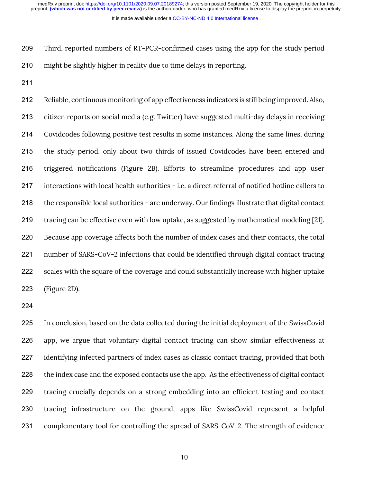It is made available under a [CC-BY-NC-ND 4.0 International license](http://creativecommons.org/licenses/by-nc-nd/4.0/) .

 Third, reported numbers of RT-PCR-confirmed cases using the app for the study period might be slightly higher in reality due to time delays in reporting.

 Reliable, continuous monitoring of app effectiveness indicators is still being improved. Also, citizen reports on social media (e.g. Twitter) have suggested multi-day delays in receiving Covidcodes following positive test results in some instances. Along the same lines, during the study period, only about two thirds of issued Covidcodes have been entered and triggered notifications (Figure 2B). Efforts to streamline procedures and app user interactions with local health authorities - i.e. a direct referral of notified hotline callers to the responsible local authorities - are underway. Our findings illustrate that digital contact tracing can be effective even with low uptake, as suggested by mathematical modeling [21]. Because app coverage affects both the number of index cases and their contacts, the total number of SARS-CoV-2 infections that could be identified through digital contact tracing scales with the square of the coverage and could substantially increase with higher uptake (Figure 2D).

 In conclusion, based on the data collected during the initial deployment of the SwissCovid app, we argue that voluntary digital contact tracing can show similar effectiveness at identifying infected partners of index cases as classic contact tracing, provided that both 228 the index case and the exposed contacts use the app. As the effectiveness of digital contact tracing crucially depends on a strong embedding into an efficient testing and contact tracing infrastructure on the ground, apps like SwissCovid represent a helpful complementary tool for controlling the spread of SARS-CoV-2. The strength of evidence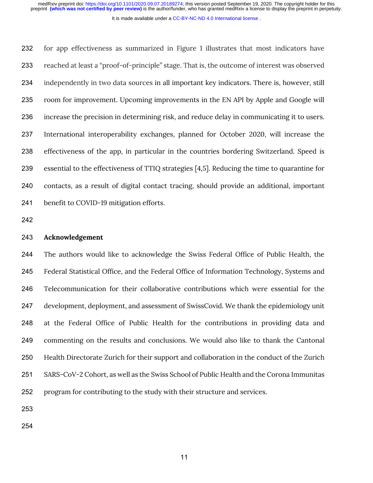It is made available under a [CC-BY-NC-ND 4.0 International license](http://creativecommons.org/licenses/by-nc-nd/4.0/) .

 for app effectiveness as summarized in Figure 1 illustrates that most indicators have reached at least a "proof-of-principle" stage. That is, the outcome of interest was observed independently in two data sources in all important key indicators. There is, however, still room for improvement. Upcoming improvements in the EN API by Apple and Google will increase the precision in determining risk, and reduce delay in communicating it to users. International interoperability exchanges, planned for October 2020, will increase the effectiveness of the app, in particular in the countries bordering Switzerland. Speed is essential to the effectiveness of TTIQ strategies [4,5]. Reducing the time to quarantine for contacts, as a result of digital contact tracing, should provide an additional, important benefit to COVID-19 mitigation efforts.

#### **Acknowledgement**

 The authors would like to acknowledge the Swiss Federal Office of Public Health, the Federal Statistical Office, and the Federal Office of Information Technology, Systems and Telecommunication for their collaborative contributions which were essential for the development, deployment, and assessment of SwissCovid. We thank the epidemiology unit at the Federal Office of Public Health for the contributions in providing data and commenting on the results and conclusions. We would also like to thank the Cantonal Health Directorate Zurich for their support and collaboration in the conduct of the Zurich SARS-CoV-2 Cohort, as well as the Swiss School of Public Health and the Corona Immunitas program for contributing to the study with their structure and services.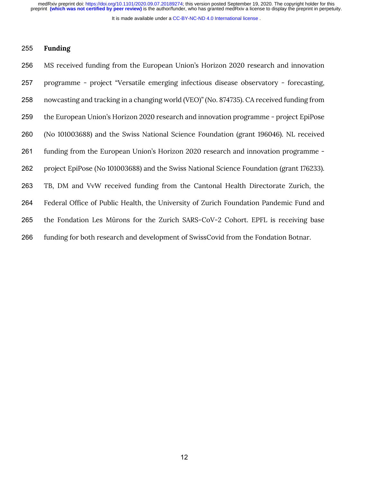It is made available under a [CC-BY-NC-ND 4.0 International license](http://creativecommons.org/licenses/by-nc-nd/4.0/) .

#### **Funding**

 MS received funding from the European Union's Horizon 2020 research and innovation programme - project "Versatile emerging infectious disease observatory - forecasting, nowcasting and tracking in a changing world (VEO)" (No. 874735). CA received funding from the European Union's Horizon 2020 research and innovation programme - project EpiPose (No 101003688) and the Swiss National Science Foundation (grant 196046). NL received funding from the European Union's Horizon 2020 research and innovation programme - project EpiPose (No 101003688) and the Swiss National Science Foundation (grant 176233). TB, DM and VvW received funding from the Cantonal Health Directorate Zurich, the Federal Office of Public Health, the University of Zurich Foundation Pandemic Fund and the Fondation Les Mûrons for the Zurich SARS-CoV-2 Cohort. EPFL is receiving base funding for both research and development of SwissCovid from the Fondation Botnar.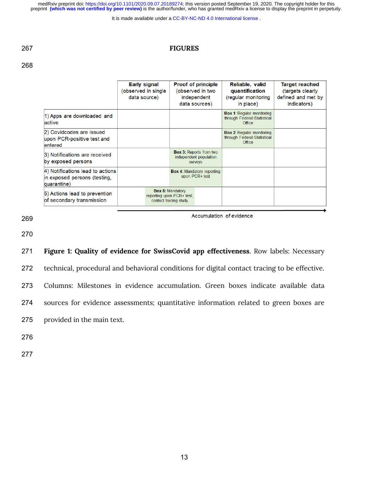It is made available under a CC-BY-NC-ND 4.0 International license.

### **FIGURES**

|                                                                                 | <b>Early signal</b><br>(observed in single)<br>data source) | <b>Proof of principle</b><br>(observed in two<br>independent<br>data sources) | Reliable, valid<br>quantification<br>(regular monitoring<br>in place)     | <b>Target reached</b><br>(targets clearly<br>defined and met by<br>indicators) |
|---------------------------------------------------------------------------------|-------------------------------------------------------------|-------------------------------------------------------------------------------|---------------------------------------------------------------------------|--------------------------------------------------------------------------------|
| 1) Apps are downloaded and<br>active                                            |                                                             |                                                                               | <b>Box 1: Regular monitoring</b><br>through Federal Statistical<br>Office |                                                                                |
| 2) Covidcodes are issued<br>upon PCR-positive test and<br>entered               |                                                             |                                                                               | <b>Box 2: Regular monitoring</b><br>through Federal Statistical<br>Office |                                                                                |
| 3) Notifications are received<br>by exposed persons                             |                                                             | <b>Box 3: Reports from two</b><br>independent population<br><b>SUIVEVS</b>    |                                                                           |                                                                                |
| 4) Notifications lead to actions<br>in exposed persons (testing,<br>quarantine) |                                                             |                                                                               |                                                                           |                                                                                |
| 5) Actions lead to prevention<br>of secondary transmission                      |                                                             | <b>Box 5: Mandatory</b><br>reporting upon PCR+ test;<br>contact tracing study |                                                                           |                                                                                |

Accumulation of evidence

**Figure 1: Quality of evidence for SwissCovid app effectiveness**. Row labels: Necessary

technical, procedural and behavioral conditions for digital contact tracing to be effective.

Columns: Milestones in evidence accumulation. Green boxes indicate available data

sources for evidence assessments; quantitative information related to green boxes are

provided in the main text.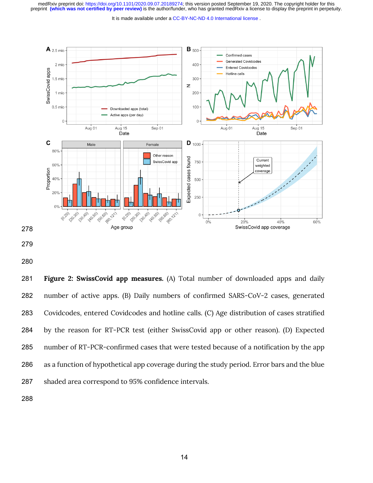It is made available under a CC-BY-NC-ND 4.0 International license.



 **Figure 2: SwissCovid app measures.** (A) Total number of downloaded apps and daily number of active apps. (B) Daily numbers of confirmed SARS-CoV-2 cases, generated Covidcodes, entered Covidcodes and hotline calls. (C) Age distribution of cases stratified by the reason for RT-PCR test (either SwissCovid app or other reason). (D) Expected number of RT-PCR-confirmed cases that were tested because of a notification by the app as a function of hypothetical app coverage during the study period. Error bars and the blue shaded area correspond to 95% confidence intervals.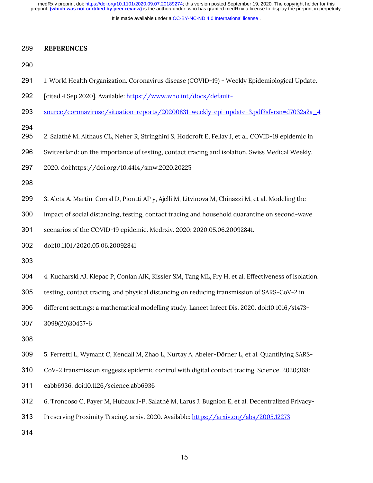It is made available under a [CC-BY-NC-ND 4.0 International license](http://creativecommons.org/licenses/by-nc-nd/4.0/) .

#### **REFERENCES**

- 1. World Health Organization. Coronavirus disease (COVID-19) Weekly Epidemiological Update.
- 292 [cited 4 Sep 2020]. Available: https://www.who.int/docs/default-
- source/coronaviruse/situation-reports/20200831-weekly-epi-update-3.pdf?sfvrsn=d7032a2a\_4

- 2. Salathé M, Althaus CL, Neher R, Stringhini S, Hodcroft E, Fellay J, et al. COVID-19 epidemic in
- Switzerland: on the importance of testing, contact tracing and isolation. Swiss Medical Weekly.
- 2020. doi:https://doi.org/10.4414/smw.2020.20225

- 3. Aleta A, Martin-Corral D, Piontti AP y, Ajelli M, Litvinova M, Chinazzi M, et al. Modeling the
- impact of social distancing, testing, contact tracing and household quarantine on second-wave

scenarios of the COVID-19 epidemic. Medrxiv. 2020; 2020.05.06.20092841.

doi:10.1101/2020.05.06.20092841

4. Kucharski AJ, Klepac P, Conlan AJK, Kissler SM, Tang ML, Fry H, et al. Effectiveness of isolation,

testing, contact tracing, and physical distancing on reducing transmission of SARS-CoV-2 in

different settings: a mathematical modelling study. Lancet Infect Dis. 2020. doi:10.1016/s1473-

3099(20)30457-6

5. Ferretti L, Wymant C, Kendall M, Zhao L, Nurtay A, Abeler-Dörner L, et al. Quantifying SARS-

CoV-2 transmission suggests epidemic control with digital contact tracing. Science. 2020;368:

eabb6936. doi:10.1126/science.abb6936

6. Troncoso C, Payer M, Hubaux J-P, Salathé M, Larus J, Bugnion E, et al. Decentralized Privacy-

Preserving Proximity Tracing. arxiv. 2020. Available: https://arxiv.org/abs/2005.12273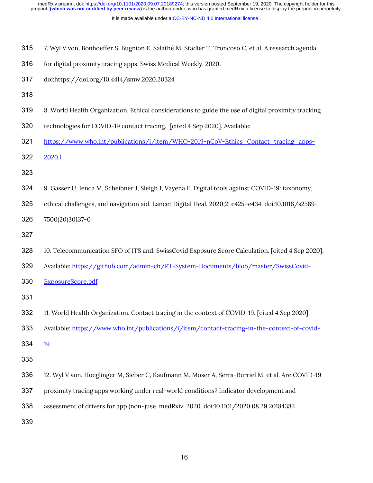It is made available under a [CC-BY-NC-ND 4.0 International license](http://creativecommons.org/licenses/by-nc-nd/4.0/) .

- 7. Wyl V von, Bonhoeffer S, Bugnion E, Salathé M, Stadler T, Troncoso C, et al. A research agenda
- 316 for digital proximity tracing apps. Swiss Medical Weekly. 2020.
- doi:https://doi.org/10.4414/smw.2020.20324
- 
- 8. World Health Organization. Ethical considerations to guide the use of digital proximity tracking
- technologies for COVID-19 contact tracing. [cited 4 Sep 2020]. Available:
- 321 https://www.who.int/publications/i/item/WHO-2019-nCoV-Ethics\_Contact\_tracing\_apps-
- 2020.1
- 
- 9. Gasser U, Ienca M, Scheibner J, Sleigh J, Vayena E. Digital tools against COVID-19: taxonomy,
- ethical challenges, and navigation aid. Lancet Digital Heal. 2020;2: e425–e434. doi:10.1016/s2589-

7500(20)30137-0

- 
- 10. Telecommunication SFO of ITS and. SwissCovid Exposure Score Calculation. [cited 4 Sep 2020].
- Available: https://github.com/admin-ch/PT-System-Documents/blob/master/SwissCovid-
- ExposureScore.pdf
- 
- 11. World Health Organization. Contact tracing in the context of COVID-19. [cited 4 Sep 2020].
- 333 Available: https://www.who.int/publications/i/item/contact-tracing-in-the-context-of-covid-
- 334 19
- 
- 12. Wyl V von, Hoeglinger M, Sieber C, Kaufmann M, Moser A, Serra-Burriel M, et al. Are COVID-19
- proximity tracing apps working under real-world conditions? Indicator development and
- assessment of drivers for app (non-)use. medRxiv. 2020. doi:10.1101/2020.08.29.20184382
-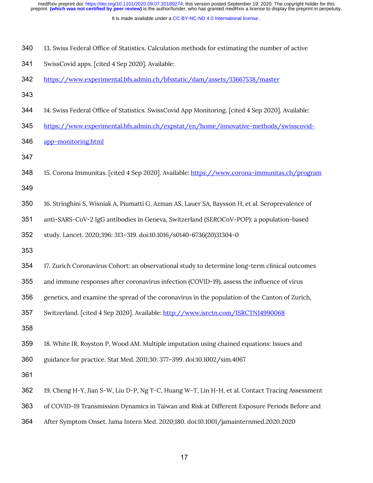It is made available under a [CC-BY-NC-ND 4.0 International license](http://creativecommons.org/licenses/by-nc-nd/4.0/) .

- 13. Swiss Federal Office of Statistics. Calculation methods for estimating the number of active
- SwissCovid apps. [cited 4 Sep 2020]. Available:
- https://www.experimental.bfs.admin.ch/bfsstatic/dam/assets/13667538/master
- 
- 14. Swiss Federal Office of Statistics. SwissCovid App Monitoring. [cited 4 Sep 2020]. Available:
- https://www.experimental.bfs.admin.ch/expstat/en/home/innovative-methods/swisscovid-
- app-monitoring.html
- 
- 15. Corona Immunitas. [cited 4 Sep 2020]. Available: https://www.corona-immunitas.ch/program
- 16. Stringhini S, Wisniak A, Piumatti G, Azman AS, Lauer SA, Baysson H, et al. Seroprevalence of
- anti-SARS-CoV-2 IgG antibodies in Geneva, Switzerland (SEROCoV-POP): a population-based

study. Lancet. 2020;396: 313–319. doi:10.1016/s0140-6736(20)31304-0

- 
- 17. Zurich Coronavirus Cohort: an observational study to determine long-term clinical outcomes

and immune responses after coronavirus infection (COVID-19), assess the influence of virus

genetics, and examine the spread of the coronavirus in the population of the Canton of Zurich,

- Switzerland. [cited 4 Sep 2020]. Available: http://www.isrctn.com/ISRCTN14990068
- 

18. White IR, Royston P, Wood AM. Multiple imputation using chained equations: Issues and

guidance for practice. Stat Med. 2011;30: 377–399. doi:10.1002/sim.4067

- 19. Cheng H-Y, Jian S-W, Liu D-P, Ng T-C, Huang W-T, Lin H-H, et al. Contact Tracing Assessment
- of COVID-19 Transmission Dynamics in Taiwan and Risk at Different Exposure Periods Before and
- After Symptom Onset. Jama Intern Med. 2020;180. doi:10.1001/jamainternmed.2020.2020